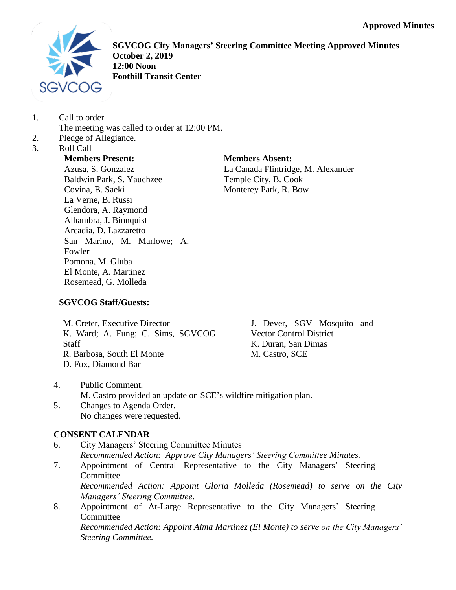

**SGVCOG City Managers' Steering Committee Meeting Approved Minutes October 2, 2019 12:00 Noon Foothill Transit Center**

1. Call to order

The meeting was called to order at 12:00 PM.

- 2. Pledge of Allegiance.
- 3. Roll Call

# **Members Present:**

Azusa, S. Gonzalez Baldwin Park, S. Yauchzee Covina, B. Saeki La Verne, B. Russi Glendora, A. Raymond Alhambra, J. Binnquist Arcadia, D. Lazzaretto San Marino, M. Marlowe; A. Fowler Pomona, M. Gluba El Monte, A. Martinez Rosemead, G. Molleda

## **Members Absent:**

La Canada Flintridge, M. Alexander Temple City, B. Cook Monterey Park, R. Bow

## **SGVCOG Staff/Guests:**

M. Creter, Executive Director K. Ward; A. Fung; C. Sims, SGVCOG **Staff** R. Barbosa, South El Monte D. Fox, Diamond Bar

J. Dever, SGV Mosquito and Vector Control District K. Duran, San Dimas M. Castro, SCE

- 4. Public Comment. M. Castro provided an update on SCE's wildfire mitigation plan.
- 5. Changes to Agenda Order. No changes were requested.

## **CONSENT CALENDAR**

6. City Managers' Steering Committee Minutes *Recommended Action: Approve City Managers' Steering Committee Minutes.* 7. Appointment of Central Representative to the City Managers' Steering **Committee** 

*Recommended Action: Appoint Gloria Molleda (Rosemead) to serve on the City Managers' Steering Committee.*

8. Appointment of At-Large Representative to the City Managers' Steering **Committee** 

*Recommended Action: Appoint Alma Martinez (El Monte) to serve on the City Managers' Steering Committee.*